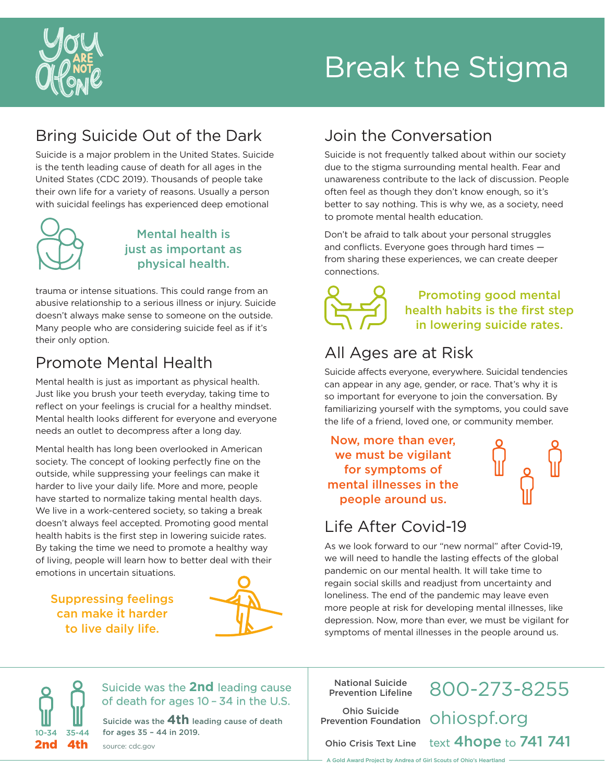

# Break the Stigma

## Bring Suicide Out of the Dark

Suicide is a major problem in the United States. Suicide is the tenth leading cause of death for all ages in the United States (CDC 2019). Thousands of people take their own life for a variety of reasons. Usually a person with suicidal feelings has experienced deep emotional



### Mental health is just as important as physical health.

trauma or intense situations. This could range from an abusive relationship to a serious illness or injury. Suicide doesn't always make sense to someone on the outside. Many people who are considering suicide feel as if it's their only option.

## Promote Mental Health

Mental health is just as important as physical health. Just like you brush your teeth everyday, taking time to reflect on your feelings is crucial for a healthy mindset. Mental health looks different for everyone and everyone needs an outlet to decompress after a long day.

Mental health has long been overlooked in American society. The concept of looking perfectly fine on the outside, while suppressing your feelings can make it harder to live your daily life. More and more, people have started to normalize taking mental health days. We live in a work-centered society, so taking a break doesn't always feel accepted. Promoting good mental health habits is the first step in lowering suicide rates. By taking the time we need to promote a healthy way of living, people will learn how to better deal with their emotions in uncertain situations.

Suppressing feelings can make it harder to live daily life.



## Join the Conversation

Suicide is not frequently talked about within our society due to the stigma surrounding mental health. Fear and unawareness contribute to the lack of discussion. People often feel as though they don't know enough, so it's better to say nothing. This is why we, as a society, need to promote mental health education.

Don't be afraid to talk about your personal struggles and conflicts. Everyone goes through hard times from sharing these experiences, we can create deeper connections.



#### Promoting good mental health habits is the first step in lowering suicide rates.

## All Ages are at Risk

Suicide affects everyone, everywhere. Suicidal tendencies can appear in any age, gender, or race. That's why it is so important for everyone to join the conversation. By familiarizing yourself with the symptoms, you could save the life of a friend, loved one, or community member.

Now, more than ever, we must be vigilant for symptoms of mental illnesses in the people around us.

## Life After Covid-19

As we look forward to our "new normal" after Covid-19, we will need to handle the lasting effects of the global pandemic on our mental health. It will take time to regain social skills and readjust from uncertainty and loneliness. The end of the pandemic may leave even more people at risk for developing mental illnesses, like depression. Now, more than ever, we must be vigilant for symptoms of mental illnesses in the people around us.

 $75 - AA$ 

Suicide was the **2nd** leading cause of death for ages 10 – 34 in the U.S.

Suicide was the **4th** leading cause of death for ages 35 – 44 in 2019. 2nd 4th source: cdc.gov

National Suicide Prevention Lifeline

Ohio Suicide

800-273-8255 Ohio Suicide<br>Prevention Foundation OhiOSpf.Org Ohio Crisis Text Line text 4hope to 741 741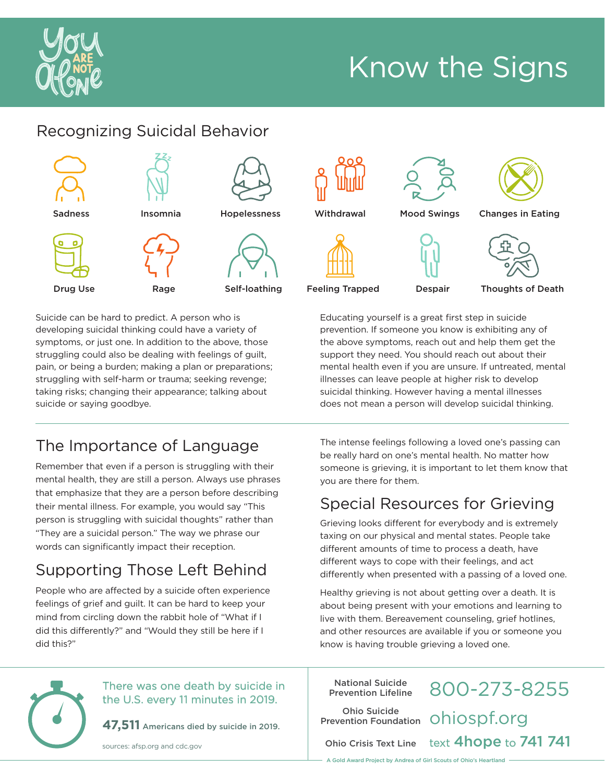

## Know the Signs

## Recognizing Suicidal Behavior



Suicide can be hard to predict. A person who is developing suicidal thinking could have a variety of symptoms, or just one. In addition to the above, those struggling could also be dealing with feelings of guilt, pain, or being a burden; making a plan or preparations; struggling with self-harm or trauma; seeking revenge; taking risks; changing their appearance; talking about suicide or saying goodbye.

## The Importance of Language

Remember that even if a person is struggling with their mental health, they are still a person. Always use phrases that emphasize that they are a person before describing their mental illness. For example, you would say "This person is struggling with suicidal thoughts" rather than "They are a suicidal person." The way we phrase our words can significantly impact their reception.

## Supporting Those Left Behind

People who are affected by a suicide often experience feelings of grief and guilt. It can be hard to keep your mind from circling down the rabbit hole of "What if I did this differently?" and "Would they still be here if I did this?"

The intense feelings following a loved one's passing can be really hard on one's mental health. No matter how someone is grieving, it is important to let them know that you are there for them.

Educating yourself is a great first step in suicide prevention. If someone you know is exhibiting any of the above symptoms, reach out and help them get the support they need. You should reach out about their mental health even if you are unsure. If untreated, mental illnesses can leave people at higher risk to develop suicidal thinking. However having a mental illnesses does not mean a person will develop suicidal thinking.

## Special Resources for Grieving

Grieving looks different for everybody and is extremely taxing on our physical and mental states. People take different amounts of time to process a death, have different ways to cope with their feelings, and act differently when presented with a passing of a loved one.

Healthy grieving is not about getting over a death. It is about being present with your emotions and learning to live with them. Bereavement counseling, grief hotlines, and other resources are available if you or someone you know is having trouble grieving a loved one.

#### There was one death by suicide in the U.S. every 11 minutes in 2019.

**47,511** Americans died by suicide in 2019.

sources: afsp.org and cdc.gov

National Suicide Prevention Lifeline

Ohio Suicide

800-273-8255 Ohio Suicide<br>Prevention Foundation OhiOSpf.Org Ohio Crisis Text Line text 4hope to 741 741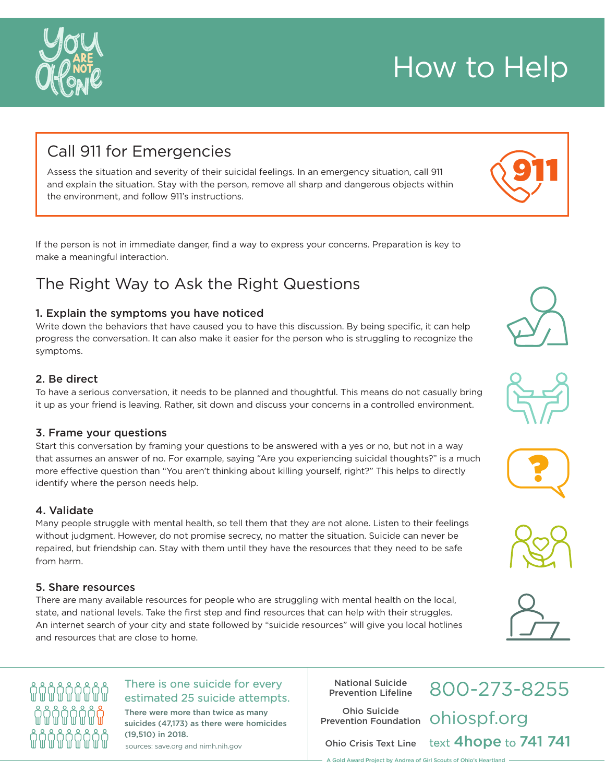### Call 911 for Emergencies

Assess the situation and severity of their suicidal feelings. In an emergency situation, call 911 and explain the situation. Stay with the person, remove all sharp and dangerous objects within the environment, and follow 911's instructions.

If the person is not in immediate danger, find a way to express your concerns. Preparation is key to make a meaningful interaction.

### The Right Way to Ask the Right Questions

#### 1. Explain the symptoms you have noticed

Write down the behaviors that have caused you to have this discussion. By being specific, it can help progress the conversation. It can also make it easier for the person who is struggling to recognize the symptoms.

#### 2. Be direct

To have a serious conversation, it needs to be planned and thoughtful. This means do not casually bring it up as your friend is leaving. Rather, sit down and discuss your concerns in a controlled environment.

#### 3. Frame your questions

Start this conversation by framing your questions to be answered with a yes or no, but not in a way that assumes an answer of no. For example, saying "Are you experiencing suicidal thoughts?" is a much more effective question than "You aren't thinking about killing yourself, right?" This helps to directly identify where the person needs help.

#### 4. Validate

Many people struggle with mental health, so tell them that they are not alone. Listen to their feelings without judgment. However, do not promise secrecy, no matter the situation. Suicide can never be repaired, but friendship can. Stay with them until they have the resources that they need to be safe from harm.

#### 5. Share resources

ก็ก็ก็ก็ก็ก็ก็ก็ก็

ก็ก็ก็ก็ก็ก็ก็ก็

កុំកុំកុំកុំកុំកុំកុំកុំ

There are many available resources for people who are struggling with mental health on the local, state, and national levels. Take the first step and find resources that can help with their struggles. An internet search of your city and state followed by "suicide resources" will give you local hotlines and resources that are close to home.

#### There is one suicide for every estimated 25 suicide attempts.

There were more than twice as many suicides (47,173) as there were homicides (19,510) in 2018.

sources: save.org and nimh.nih.gov

National Suicide Prevention Lifeline

Ohio Suicide Prevention Foundation

Ohio Crisis Text Line

800-273-8255 ohiospf.org text 4hope to 741 741















## How to Help